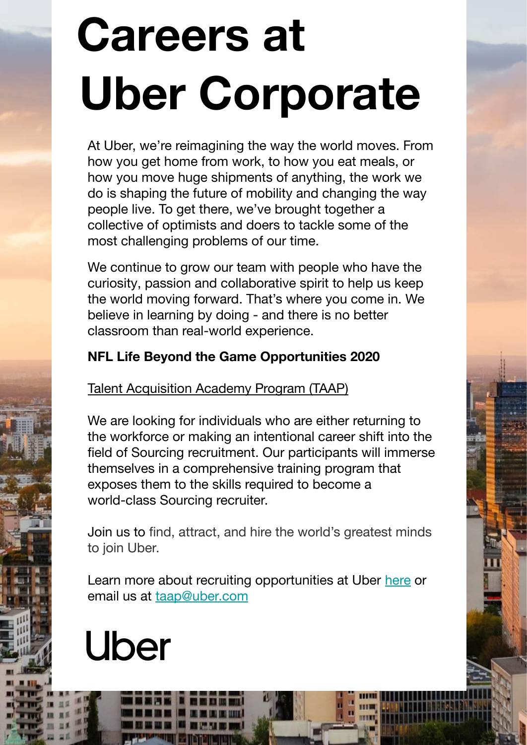# **Careers at Uber Corporate**

At Uber, we're reimagining the way the world moves. From how you get home from work, to how you eat meals, or how you move huge shipments of anything, the work we do is shaping the future of mobility and changing the way people live. To get there, we've brought together a collective of optimists and doers to tackle some of the most challenging problems of our time.

We continue to grow our team with people who have the curiosity, passion and collaborative spirit to help us keep the world moving forward. That's where you come in. We believe in learning by doing - and there is no better classroom than real-world experience.

#### **NFL Life Beyond the Game Opportunities 2020**

Talent Acquisition Academy Program (TAAP)

We are looking for individuals who are either returning to the workforce or making an intentional career shift into the field of Sourcing recruitment. Our participants will immerse themselves in a comprehensive training program that exposes them to the skills required to become a world-class Sourcing recruiter.

Join us to find, attract, and hire the world's greatest minds to join Uber.

Learn more about recruiting opportunities at Uber [here](https://www.uber.com/us/en/careers/teams/people-and-places/) or email us at [taap@uber.com](mailto:taap@uber.com)

## **Uber**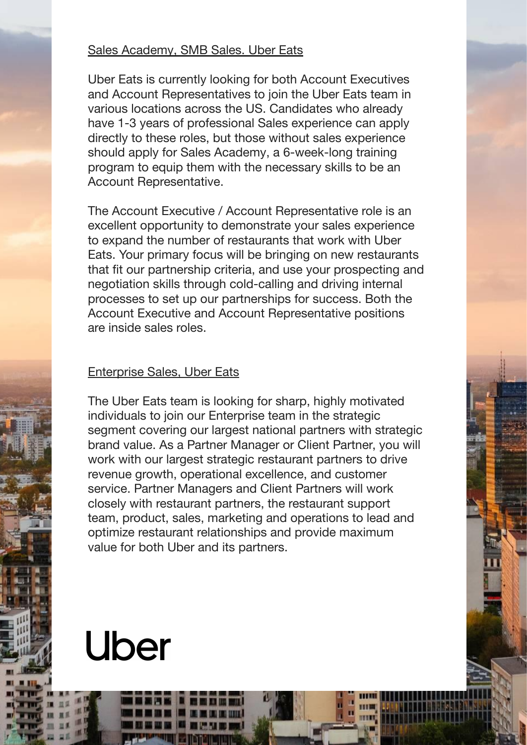#### Sales Academy, SMB Sales. Uber Eats

Uber Eats is currently looking for both Account Executives and Account Representatives to join the Uber Eats team in various locations across the US. Candidates who already have 1-3 years of professional Sales experience can apply directly to these roles, but those without sales experience should apply for Sales Academy, a 6-week-long training program to equip them with the necessary skills to be an Account Representative.

The Account Executive / Account Representative role is an excellent opportunity to demonstrate your sales experience to expand the number of restaurants that work with Uber Eats. Your primary focus will be bringing on new restaurants that fit our partnership criteria, and use your prospecting and negotiation skills through cold-calling and driving internal processes to set up our partnerships for success. Both the Account Executive and Account Representative positions are inside sales roles.

#### Enterprise Sales, Uber Eats

The Uber Eats team is looking for sharp, highly motivated individuals to join our Enterprise team in the strategic segment covering our largest national partners with strategic brand value. As a Partner Manager or Client Partner, you will work with our largest strategic restaurant partners to drive revenue growth, operational excellence, and customer service. Partner Managers and Client Partners will work closely with restaurant partners, the restaurant support team, product, sales, marketing and operations to lead and optimize restaurant relationships and provide maximum value for both Uber and its partners.

### **Uber**